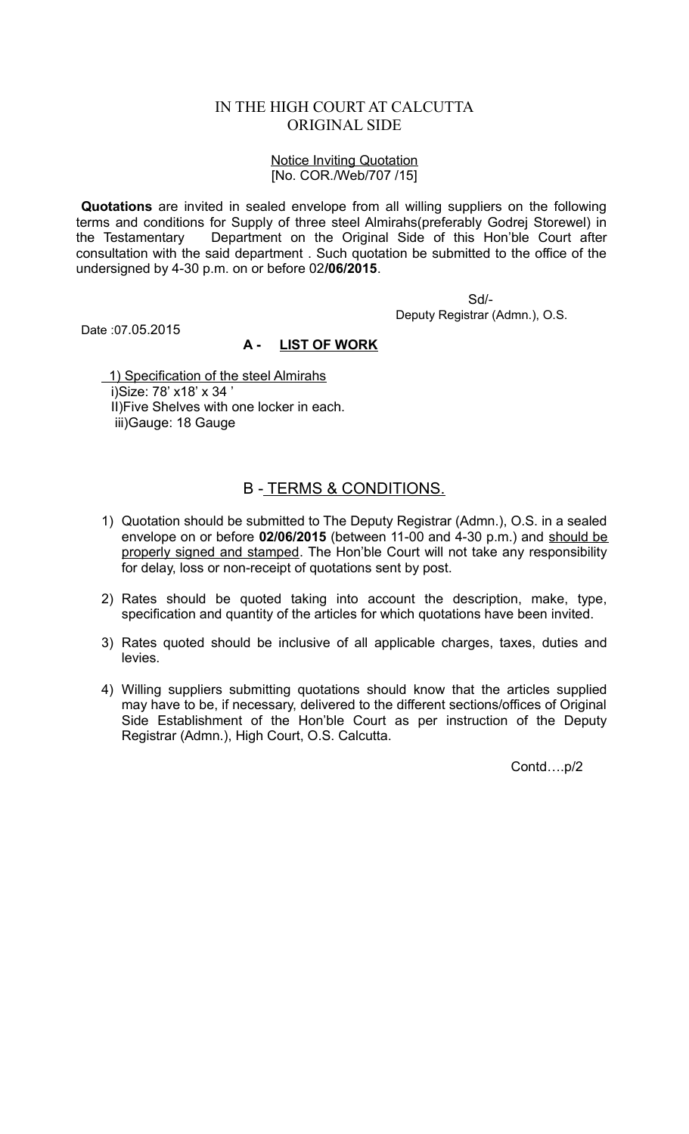## IN THE HIGH COURT AT CALCUTTA ORIGINAL SIDE

## Notice Inviting Quotation [No. COR./Web/707 /15]

**Quotations** are invited in sealed envelope from all willing suppliers on the following terms and conditions for Supply of three steel Almirahs(preferably Godrej Storewel) in the Testamentary Department on the Original Side of this Hon'ble Court after consultation with the said department . Such quotation be submitted to the office of the undersigned by 4-30 p.m. on or before 02**/06/2015**.

> Sd/- Deputy Registrar (Admn.), O.S.

Date :07.05.2015

## **A - LIST OF WORK**

 1) Specification of the steel Almirahs i)Size: 78' x18' x 34 ' II)Five Shelves with one locker in each. iii)Gauge: 18 Gauge

## B - TERMS & CONDITIONS.

- 1) Quotation should be submitted to The Deputy Registrar (Admn.), O.S. in a sealed envelope on or before **02/06/2015** (between 11-00 and 4-30 p.m.) and should be properly signed and stamped. The Hon'ble Court will not take any responsibility for delay, loss or non-receipt of quotations sent by post.
- 2) Rates should be quoted taking into account the description, make, type, specification and quantity of the articles for which quotations have been invited.
- 3) Rates quoted should be inclusive of all applicable charges, taxes, duties and levies.
- 4) Willing suppliers submitting quotations should know that the articles supplied may have to be, if necessary, delivered to the different sections/offices of Original Side Establishment of the Hon'ble Court as per instruction of the Deputy Registrar (Admn.), High Court, O.S. Calcutta.

Contd….p/2